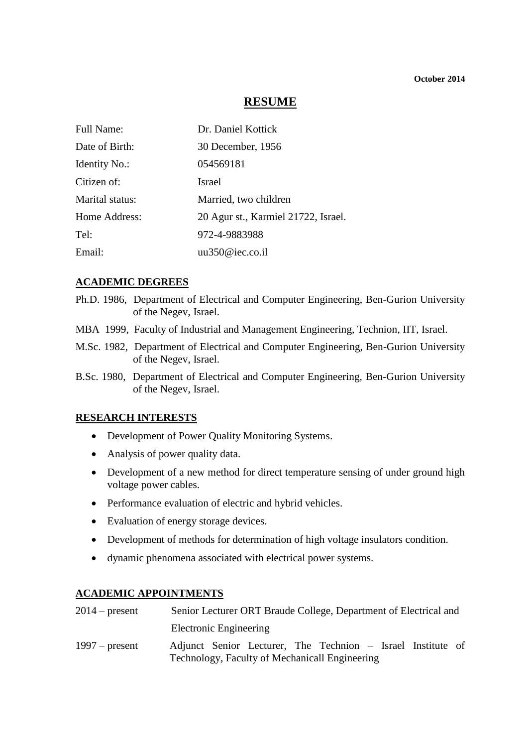## **RESUME**

| Full Name:           | Dr. Daniel Kottick                  |
|----------------------|-------------------------------------|
| Date of Birth:       | 30 December, 1956                   |
| <b>Identity No.:</b> | 054569181                           |
| Citizen of:          | <b>Israel</b>                       |
| Marital status:      | Married, two children               |
| Home Address:        | 20 Agur st., Karmiel 21722, Israel. |
| Tel:                 | 972-4-9883988                       |
| Email:               | uu350@iec.co.i                      |

#### **ACADEMIC DEGREES**

- Ph.D. 1986, Department of Electrical and Computer Engineering, Ben-Gurion University of the Negev, Israel.
- MBA 1999, Faculty of Industrial and Management Engineering, Technion, IIT, Israel.
- M.Sc. 1982, Department of Electrical and Computer Engineering, Ben-Gurion University of the Negev, Israel.
- B.Sc. 1980, Department of Electrical and Computer Engineering, Ben-Gurion University of the Negev, Israel.

### **RESEARCH INTERESTS**

- Development of Power Quality Monitoring Systems.
- Analysis of power quality data.
- Development of a new method for direct temperature sensing of under ground high voltage power cables.
- Performance evaluation of electric and hybrid vehicles.
- Evaluation of energy storage devices.
- Development of methods for determination of high voltage insulators condition.
- dynamic phenomena associated with electrical power systems.

#### **ACADEMIC APPOINTMENTS**

| $2014$ – present | Senior Lecturer ORT Braude College, Department of Electrical and |
|------------------|------------------------------------------------------------------|
|                  | Electronic Engineering                                           |
| $1997$ – present | Adjunct Senior Lecturer, The Technion – Israel Institute of      |
|                  | Technology, Faculty of Mechanicall Engineering                   |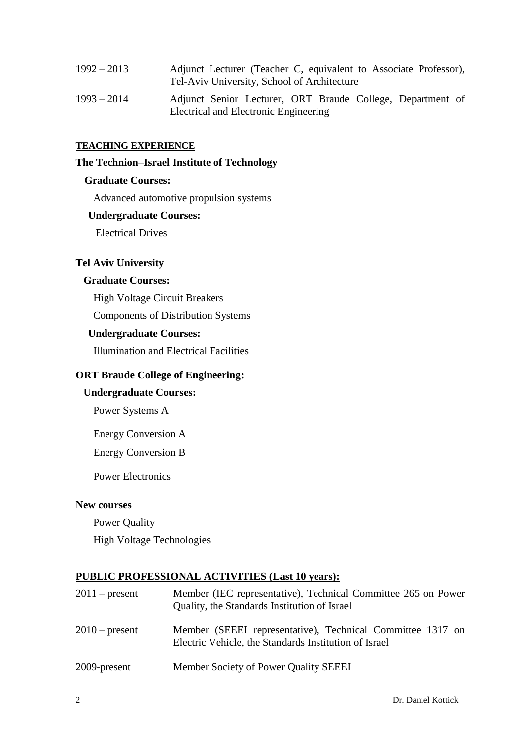| $1992 - 2013$ | Adjunct Lecturer (Teacher C, equivalent to Associate Professor),<br>Tel-Aviv University, School of Architecture |  |  |  |
|---------------|-----------------------------------------------------------------------------------------------------------------|--|--|--|
| $1993 - 2014$ | Adjunct Senior Lecturer, ORT Braude College, Department of<br>Electrical and Electronic Engineering             |  |  |  |

#### **TEACHING EXPERIENCE**

#### **The Technion**–**Israel Institute of Technology**

#### **Graduate Courses:**

Advanced automotive propulsion systems

#### **Undergraduate Courses:**

Electrical Drives

### **Tel Aviv University**

## **Graduate Courses:**

High Voltage Circuit Breakers

Components of Distribution Systems

#### **Undergraduate Courses:**

Illumination and Electrical Facilities

#### **ORT Braude College of Engineering:**

## **Undergraduate Courses:**

Power Systems A

Energy Conversion A

Energy Conversion B

Power Electronics

### **New courses**

Power Quality High Voltage Technologies

### **PUBLIC PROFESSIONAL ACTIVITIES (Last 10 years):**

| $2011$ – present | Member (IEC representative), Technical Committee 265 on Power<br>Quality, the Standards Institution of Israel       |
|------------------|---------------------------------------------------------------------------------------------------------------------|
| $2010$ – present | Member (SEEEI representative), Technical Committee 1317 on<br>Electric Vehicle, the Standards Institution of Israel |
| 2009-present     | Member Society of Power Quality SEEEI                                                                               |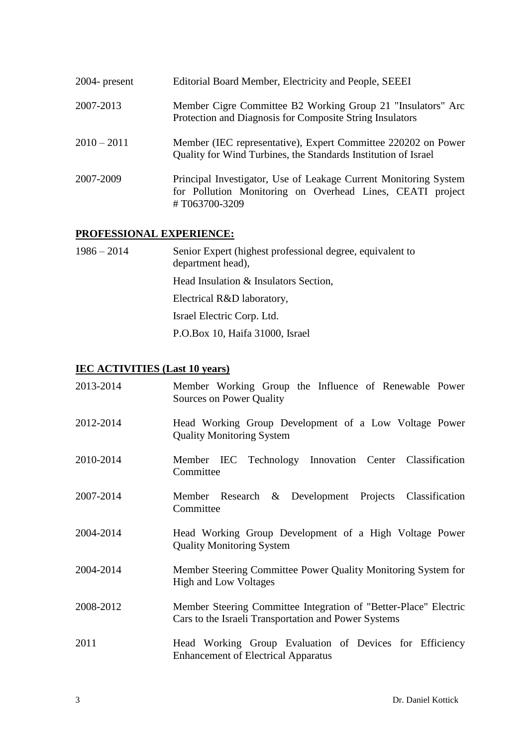| $2004$ - present | Editorial Board Member, Electricity and People, SEEEI                                                                                          |
|------------------|------------------------------------------------------------------------------------------------------------------------------------------------|
| 2007-2013        | Member Cigre Committee B2 Working Group 21 "Insulators" Arc<br>Protection and Diagnosis for Composite String Insulators                        |
| $2010 - 2011$    | Member (IEC representative), Expert Committee 220202 on Power<br>Quality for Wind Turbines, the Standards Institution of Israel                |
| 2007-2009        | Principal Investigator, Use of Leakage Current Monitoring System<br>for Pollution Monitoring on Overhead Lines, CEATI project<br>#T063700-3209 |

# **PROFESSIONAL EXPERIENCE:**

1986 – 2014 Senior Expert (highest professional degree, equivalent to department head), Head Insulation & Insulators Section, Electrical R&D laboratory, Israel Electric Corp. Ltd. P.O.Box 10, Haifa 31000, Israel

### **IEC ACTIVITIES (Last 10 years)**

| 2013-2014 | Member Working Group the Influence of Renewable Power<br>Sources on Power Quality                                        |
|-----------|--------------------------------------------------------------------------------------------------------------------------|
| 2012-2014 | Head Working Group Development of a Low Voltage Power<br><b>Quality Monitoring System</b>                                |
| 2010-2014 | Member IEC Technology Innovation Center Classification<br>Committee                                                      |
| 2007-2014 | Member Research & Development Projects Classification<br>Committee                                                       |
| 2004-2014 | Head Working Group Development of a High Voltage Power<br><b>Quality Monitoring System</b>                               |
| 2004-2014 | Member Steering Committee Power Quality Monitoring System for<br><b>High and Low Voltages</b>                            |
| 2008-2012 | Member Steering Committee Integration of "Better-Place" Electric<br>Cars to the Israeli Transportation and Power Systems |
| 2011      | Head Working Group Evaluation of Devices for Efficiency<br><b>Enhancement of Electrical Apparatus</b>                    |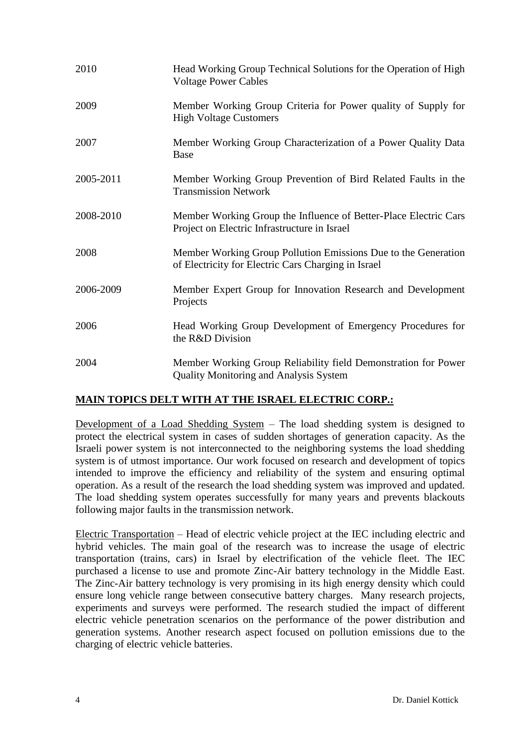| 2010      | Head Working Group Technical Solutions for the Operation of High<br><b>Voltage Power Cables</b>                       |
|-----------|-----------------------------------------------------------------------------------------------------------------------|
| 2009      | Member Working Group Criteria for Power quality of Supply for<br><b>High Voltage Customers</b>                        |
| 2007      | Member Working Group Characterization of a Power Quality Data<br><b>Base</b>                                          |
| 2005-2011 | Member Working Group Prevention of Bird Related Faults in the<br><b>Transmission Network</b>                          |
| 2008-2010 | Member Working Group the Influence of Better-Place Electric Cars<br>Project on Electric Infrastructure in Israel      |
| 2008      | Member Working Group Pollution Emissions Due to the Generation<br>of Electricity for Electric Cars Charging in Israel |
| 2006-2009 | Member Expert Group for Innovation Research and Development<br>Projects                                               |
| 2006      | Head Working Group Development of Emergency Procedures for<br>the R&D Division                                        |
| 2004      | Member Working Group Reliability field Demonstration for Power<br><b>Quality Monitoring and Analysis System</b>       |

# **MAIN TOPICS DELT WITH AT THE ISRAEL ELECTRIC CORP.:**

Development of a Load Shedding System – The load shedding system is designed to protect the electrical system in cases of sudden shortages of generation capacity. As the Israeli power system is not interconnected to the neighboring systems the load shedding system is of utmost importance. Our work focused on research and development of topics intended to improve the efficiency and reliability of the system and ensuring optimal operation. As a result of the research the load shedding system was improved and updated. The load shedding system operates successfully for many years and prevents blackouts following major faults in the transmission network.

Electric Transportation – Head of electric vehicle project at the IEC including electric and hybrid vehicles. The main goal of the research was to increase the usage of electric transportation (trains, cars) in Israel by electrification of the vehicle fleet. The IEC purchased a license to use and promote Zinc-Air battery technology in the Middle East. The Zinc-Air battery technology is very promising in its high energy density which could ensure long vehicle range between consecutive battery charges. Many research projects, experiments and surveys were performed. The research studied the impact of different electric vehicle penetration scenarios on the performance of the power distribution and generation systems. Another research aspect focused on pollution emissions due to the charging of electric vehicle batteries.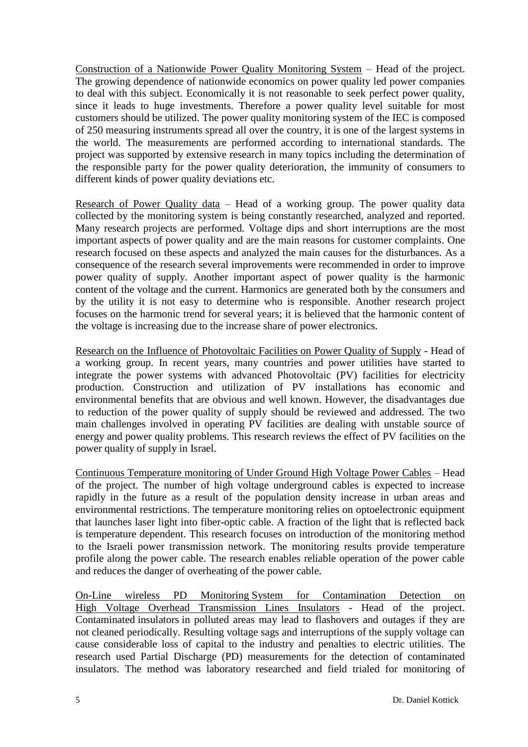Construction of a Nationwide Power Quality Monitoring System – Head of the project. The growing dependence of nationwide economics on power quality led power companies to deal with this subject. Economically it is not reasonable to seek perfect power quality, since it leads to huge investments. Therefore a power quality level suitable for most customers should be utilized. The power quality monitoring system of the IEC is composed of 250 measuring instruments spread all over the country, it is one of the largest systems in the world. The measurements are performed according to international standards. The project was supported by extensive research in many topics including the determination of the responsible party for the power quality deterioration, the immunity of consumers to different kinds of power quality deviations etc.

Research of Power Quality data – Head of a working group. The power quality data collected by the monitoring system is being constantly researched, analyzed and reported. Many research projects are performed. Voltage dips and short interruptions are the most important aspects of power quality and are the main reasons for customer complaints. One research focused on these aspects and analyzed the main causes for the disturbances. As a consequence of the research several improvements were recommended in order to improve power quality of supply. Another important aspect of power quality is the harmonic content of the voltage and the current. Harmonics are generated both by the consumers and by the utility it is not easy to determine who is responsible. Another research project focuses on the harmonic trend for several years; it is believed that the harmonic content of the voltage is increasing due to the increase share of power electronics.

Research on the Influence of Photovoltaic Facilities on Power Quality of Supply - Head of a working group. In recent years, many countries and power utilities have started to integrate the power systems with advanced Photovoltaic (PV) facilities for electricity production. Construction and utilization of PV installations has economic and environmental benefits that are obvious and well known. However, the disadvantages due to reduction of the power quality of supply should be reviewed and addressed. The two main challenges involved in operating PV facilities are dealing with unstable source of energy and power quality problems. This research reviews the effect of PV facilities on the power quality of supply in Israel.

Continuous Temperature monitoring of Under Ground High Voltage Power Cables – Head of the project. The number of high voltage underground cables is expected to increase rapidly in the future as a result of the population density increase in urban areas and environmental restrictions. The temperature monitoring relies on optoelectronic equipment that launches laser light into fiber-optic cable. A fraction of the light that is reflected back is temperature dependent. This research focuses on introduction of the monitoring method to the Israeli power transmission network. The monitoring results provide temperature profile along the power cable. The research enables reliable operation of the power cable and reduces the danger of overheating of the power cable.

On-Line wireless PD Monitoring System for Contamination Detection on High Voltage Overhead Transmission Lines Insulators - Head of the project. Contaminated insulators in polluted areas may lead to flashovers and outages if they are not cleaned periodically. Resulting voltage sags and interruptions of the supply voltage can cause considerable loss of capital to the industry and penalties to electric utilities. The research used Partial Discharge (PD) measurements for the detection of contaminated insulators. The method was laboratory researched and field trialed for monitoring of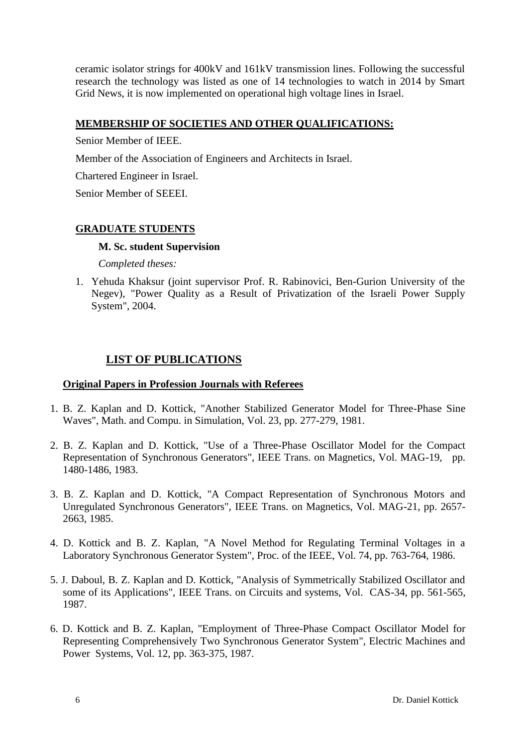ceramic isolator strings for 400kV and 161kV transmission lines. Following the successful research the technology was listed as one of 14 technologies to watch in 2014 by Smart Grid News, it is now implemented on operational high voltage lines in Israel.

# **MEMBERSHIP OF SOCIETIES AND OTHER QUALIFICATIONS:**

Senior Member of IEEE.

Member of the Association of Engineers and Architects in Israel.

Chartered Engineer in Israel.

Senior Member of SEEEI.

# **GRADUATE STUDENTS**

### **M. Sc. student Supervision**

*Completed theses:*

1. Yehuda Khaksur (joint supervisor Prof. R. Rabinovici, Ben-Gurion University of the Negev), "Power Quality as a Result of Privatization of the Israeli Power Supply System", 2004.

# **LIST OF PUBLICATIONS**

## **Original Papers in Profession Journals with Referees**

- 1. B. Z. Kaplan and D. Kottick, "Another Stabilized Generator Model for Three-Phase Sine Waves", Math. and Compu. in Simulation, Vol. 23, pp. 277-279, 1981.
- 2. B. Z. Kaplan and D. Kottick, "Use of a Three-Phase Oscillator Model for the Compact Representation of Synchronous Generators", IEEE Trans. on Magnetics, Vol. MAG-19, pp. 1480-1486, 1983.
- 3. B. Z. Kaplan and D. Kottick, "A Compact Representation of Synchronous Motors and Unregulated Synchronous Generators", IEEE Trans. on Magnetics, Vol. MAG-21, pp. 2657- 2663, 1985.
- 4. D. Kottick and B. Z. Kaplan, "A Novel Method for Regulating Terminal Voltages in a Laboratory Synchronous Generator System", Proc. of the IEEE, Vol. 74, pp. 763-764, 1986.
- 5. J. Daboul, B. Z. Kaplan and D. Kottick, "Analysis of Symmetrically Stabilized Oscillator and some of its Applications", IEEE Trans. on Circuits and systems, Vol. CAS-34, pp. 561-565, 1987.
- 6. D. Kottick and B. Z. Kaplan, "Employment of Three-Phase Compact Oscillator Model for Representing Comprehensively Two Synchronous Generator System", Electric Machines and Power Systems, Vol. 12, pp. 363-375, 1987.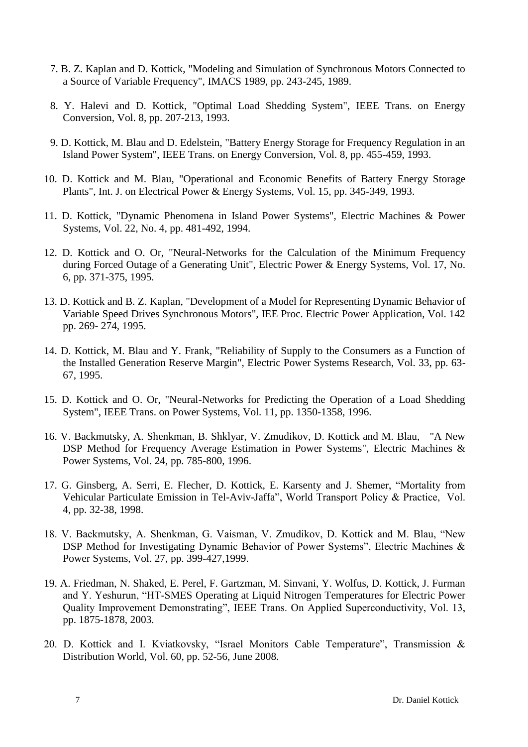- 7. B. Z. Kaplan and D. Kottick, "Modeling and Simulation of Synchronous Motors Connected to a Source of Variable Frequency", IMACS 1989, pp. 243-245, 1989.
- 8. Y. Halevi and D. Kottick, "Optimal Load Shedding System", IEEE Trans. on Energy Conversion, Vol. 8, pp. 207-213, 1993.
- 9. D. Kottick, M. Blau and D. Edelstein, "Battery Energy Storage for Frequency Regulation in an Island Power System", IEEE Trans. on Energy Conversion, Vol. 8, pp. 455-459, 1993.
- 10. D. Kottick and M. Blau, "Operational and Economic Benefits of Battery Energy Storage Plants", Int. J. on Electrical Power & Energy Systems, Vol. 15, pp. 345-349, 1993.
- 11. D. Kottick, "Dynamic Phenomena in Island Power Systems", Electric Machines & Power Systems, Vol. 22, No. 4, pp. 481-492, 1994.
- 12. D. Kottick and O. Or, "Neural-Networks for the Calculation of the Minimum Frequency during Forced Outage of a Generating Unit", Electric Power & Energy Systems, Vol. 17, No. 6, pp. 371-375, 1995.
- 13. D. Kottick and B. Z. Kaplan, "Development of a Model for Representing Dynamic Behavior of Variable Speed Drives Synchronous Motors", IEE Proc. Electric Power Application, Vol. 142 pp. 269- 274, 1995.
- 14. D. Kottick, M. Blau and Y. Frank, "Reliability of Supply to the Consumers as a Function of the Installed Generation Reserve Margin", Electric Power Systems Research, Vol. 33, pp. 63- 67, 1995.
- 15. D. Kottick and O. Or, "Neural-Networks for Predicting the Operation of a Load Shedding System", IEEE Trans. on Power Systems, Vol. 11, pp. 1350-1358, 1996.
- 16. V. Backmutsky, A. Shenkman, B. Shklyar, V. Zmudikov, D. Kottick and M. Blau, "A New DSP Method for Frequency Average Estimation in Power Systems", Electric Machines & Power Systems, Vol. 24, pp. 785-800, 1996.
- 17. G. Ginsberg, A. Serri, E. Flecher, D. Kottick, E. Karsenty and J. Shemer, "Mortality from Vehicular Particulate Emission in Tel-Aviv-Jaffa", World Transport Policy & Practice, Vol. 4, pp. 32-38, 1998.
- 18. V. Backmutsky, A. Shenkman, G. Vaisman, V. Zmudikov, D. Kottick and M. Blau, "New DSP Method for Investigating Dynamic Behavior of Power Systems", Electric Machines & Power Systems, Vol. 27, pp. 399-427,1999.
- 19. A. Friedman, N. Shaked, E. Perel, F. Gartzman, M. Sinvani, Y. Wolfus, D. Kottick, J. Furman and Y. Yeshurun, "HT-SMES Operating at Liquid Nitrogen Temperatures for Electric Power Quality Improvement Demonstrating", IEEE Trans. On Applied Superconductivity, Vol. 13, pp. 1875-1878, 2003.
- 20. D. Kottick and I. Kviatkovsky, "Israel Monitors Cable Temperature", Transmission & Distribution World, Vol. 60, pp. 52-56, June 2008.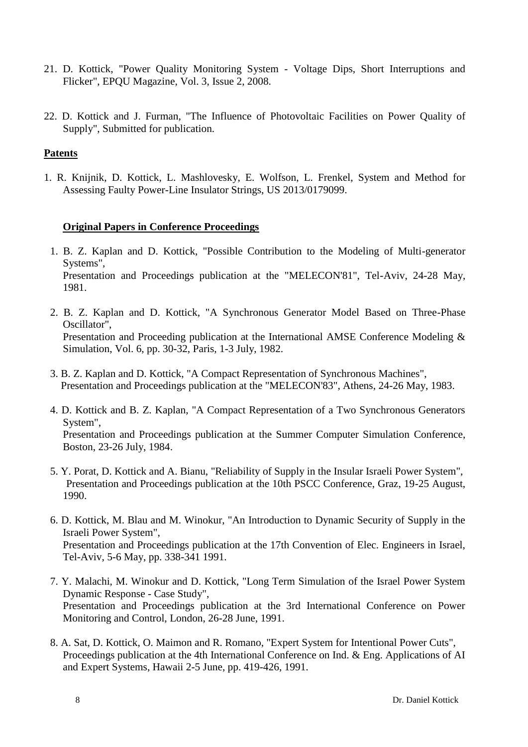- 21. D. Kottick, "Power Quality Monitoring System Voltage Dips, Short Interruptions and Flicker", EPQU Magazine, Vol. 3, Issue 2, 2008.
- 22. D. Kottick and J. Furman, "The Influence of Photovoltaic Facilities on Power Quality of Supply", Submitted for publication.

## **Patents**

1. R. Knijnik, D. Kottick, L. Mashlovesky, E. Wolfson, L. Frenkel, System and Method for Assessing Faulty Power-Line Insulator Strings, US 2013/0179099.

# **Original Papers in Conference Proceedings**

- 1. B. Z. Kaplan and D. Kottick, "Possible Contribution to the Modeling of Multi-generator Systems", Presentation and Proceedings publication at the "MELECON'81", Tel-Aviv, 24-28 May, 1981.
- 2. B. Z. Kaplan and D. Kottick, "A Synchronous Generator Model Based on Three-Phase Oscillator", Presentation and Proceeding publication at the International AMSE Conference Modeling & Simulation, Vol. 6, pp. 30-32, Paris, 1-3 July, 1982.
- 3. B. Z. Kaplan and D. Kottick, "A Compact Representation of Synchronous Machines", Presentation and Proceedings publication at the "MELECON'83", Athens, 24-26 May, 1983.
- 4. D. Kottick and B. Z. Kaplan, "A Compact Representation of a Two Synchronous Generators System", Presentation and Proceedings publication at the Summer Computer Simulation Conference, Boston, 23-26 July, 1984.
- 5. Y. Porat, D. Kottick and A. Bianu, "Reliability of Supply in the Insular Israeli Power System", Presentation and Proceedings publication at the 10th PSCC Conference, Graz, 19-25 August, 1990.
- 6. D. Kottick, M. Blau and M. Winokur, "An Introduction to Dynamic Security of Supply in the Israeli Power System", Presentation and Proceedings publication at the 17th Convention of Elec. Engineers in Israel, Tel-Aviv, 5-6 May, pp. 338-341 1991.
- 7. Y. Malachi, M. Winokur and D. Kottick, "Long Term Simulation of the Israel Power System Dynamic Response - Case Study", Presentation and Proceedings publication at the 3rd International Conference on Power Monitoring and Control, London, 26-28 June, 1991.
- 8. A. Sat, D. Kottick, O. Maimon and R. Romano, "Expert System for Intentional Power Cuts", Proceedings publication at the 4th International Conference on Ind. & Eng. Applications of AI and Expert Systems, Hawaii 2-5 June, pp. 419-426, 1991.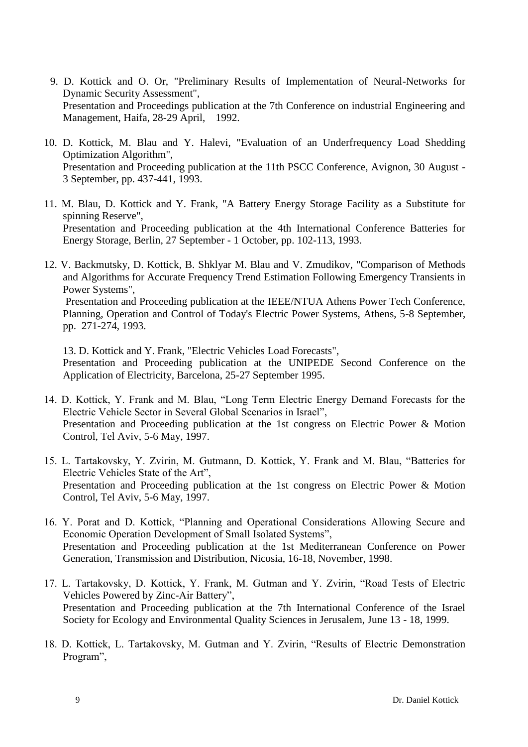- 9. D. Kottick and O. Or, "Preliminary Results of Implementation of Neural-Networks for Dynamic Security Assessment", Presentation and Proceedings publication at the 7th Conference on industrial Engineering and Management, Haifa, 28-29 April, 1992.
- 10. D. Kottick, M. Blau and Y. Halevi, "Evaluation of an Underfrequency Load Shedding Optimization Algorithm", Presentation and Proceeding publication at the 11th PSCC Conference, Avignon, 30 August - 3 September, pp. 437-441, 1993.
- 11. M. Blau, D. Kottick and Y. Frank, "A Battery Energy Storage Facility as a Substitute for spinning Reserve", Presentation and Proceeding publication at the 4th International Conference Batteries for Energy Storage, Berlin, 27 September - 1 October, pp. 102-113, 1993.
- 12. V. Backmutsky, D. Kottick, B. Shklyar M. Blau and V. Zmudikov, "Comparison of Methods and Algorithms for Accurate Frequency Trend Estimation Following Emergency Transients in Power Systems",

Presentation and Proceeding publication at the IEEE/NTUA Athens Power Tech Conference, Planning, Operation and Control of Today's Electric Power Systems, Athens, 5-8 September, pp. 271-274, 1993.

13. D. Kottick and Y. Frank, "Electric Vehicles Load Forecasts", Presentation and Proceeding publication at the UNIPEDE Second Conference on the Application of Electricity, Barcelona, 25-27 September 1995.

- 14. D. Kottick, Y. Frank and M. Blau, "Long Term Electric Energy Demand Forecasts for the Electric Vehicle Sector in Several Global Scenarios in Israel", Presentation and Proceeding publication at the 1st congress on Electric Power & Motion Control, Tel Aviv, 5-6 May, 1997.
- 15. L. Tartakovsky, Y. Zvirin, M. Gutmann, D. Kottick, Y. Frank and M. Blau, "Batteries for Electric Vehicles State of the Art", Presentation and Proceeding publication at the 1st congress on Electric Power & Motion Control, Tel Aviv, 5-6 May, 1997.
- 16. Y. Porat and D. Kottick, "Planning and Operational Considerations Allowing Secure and Economic Operation Development of Small Isolated Systems", Presentation and Proceeding publication at the 1st Mediterranean Conference on Power Generation, Transmission and Distribution, Nicosia, 16-18, November, 1998.
- 17. L. Tartakovsky, D. Kottick, Y. Frank, M. Gutman and Y. Zvirin, "Road Tests of Electric Vehicles Powered by Zinc-Air Battery", Presentation and Proceeding publication at the 7th International Conference of the Israel Society for Ecology and Environmental Quality Sciences in Jerusalem, June 13 - 18, 1999.
- 18. D. Kottick, L. Tartakovsky, M. Gutman and Y. Zvirin, "Results of Electric Demonstration Program",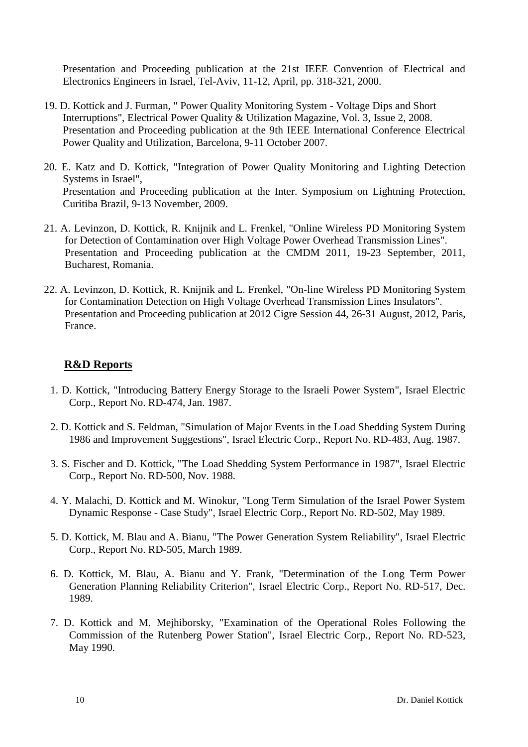Presentation and Proceeding publication at the 21st IEEE Convention of Electrical and Electronics Engineers in Israel, Tel-Aviv, 11-12, April, pp. 318-321, 2000.

- 19. D. Kottick and J. Furman, " Power Quality Monitoring System Voltage Dips and Short Interruptions", Electrical Power Quality & Utilization Magazine, Vol. 3, Issue 2, 2008. Presentation and Proceeding publication at the 9th IEEE International Conference Electrical Power Quality and Utilization, Barcelona, 9-11 October 2007.
- 20. E. Katz and D. Kottick, "Integration of Power Quality Monitoring and Lighting Detection Systems in Israel", Presentation and Proceeding publication at the Inter. Symposium on Lightning Protection, Curitiba Brazil, 9-13 November, 2009.
- 21. A. Levinzon, D. Kottick, R. Knijnik and L. Frenkel, "Online Wireless PD Monitoring System for Detection of Contamination over High Voltage Power Overhead Transmission Lines". Presentation and Proceeding publication at the CMDM 2011, 19-23 September, 2011, Bucharest, Romania.
- 22. A. Levinzon, D. Kottick, R. Knijnik and L. Frenkel, "On-line Wireless PD Monitoring System for Contamination Detection on High Voltage Overhead Transmission Lines Insulators". Presentation and Proceeding publication at 2012 Cigre Session 44, 26-31 August, 2012, Paris, France.

# **R&D Reports**

- 1. D. Kottick, "Introducing Battery Energy Storage to the Israeli Power System", Israel Electric Corp., Report No. RD-474, Jan. 1987.
- 2. D. Kottick and S. Feldman, "Simulation of Major Events in the Load Shedding System During 1986 and Improvement Suggestions", Israel Electric Corp., Report No. RD-483, Aug. 1987.
- 3. S. Fischer and D. Kottick, "The Load Shedding System Performance in 1987", Israel Electric Corp., Report No. RD-500, Nov. 1988.
- 4. Y. Malachi, D. Kottick and M. Winokur, "Long Term Simulation of the Israel Power System Dynamic Response - Case Study", Israel Electric Corp., Report No. RD-502, May 1989.
- 5. D. Kottick, M. Blau and A. Bianu, "The Power Generation System Reliability", Israel Electric Corp., Report No. RD-505, March 1989.
- 6. D. Kottick, M. Blau, A. Bianu and Y. Frank, "Determination of the Long Term Power Generation Planning Reliability Criterion", Israel Electric Corp., Report No. RD-517, Dec. 1989.
- 7. D. Kottick and M. Mejhiborsky, "Examination of the Operational Roles Following the Commission of the Rutenberg Power Station", Israel Electric Corp., Report No. RD-523, May 1990.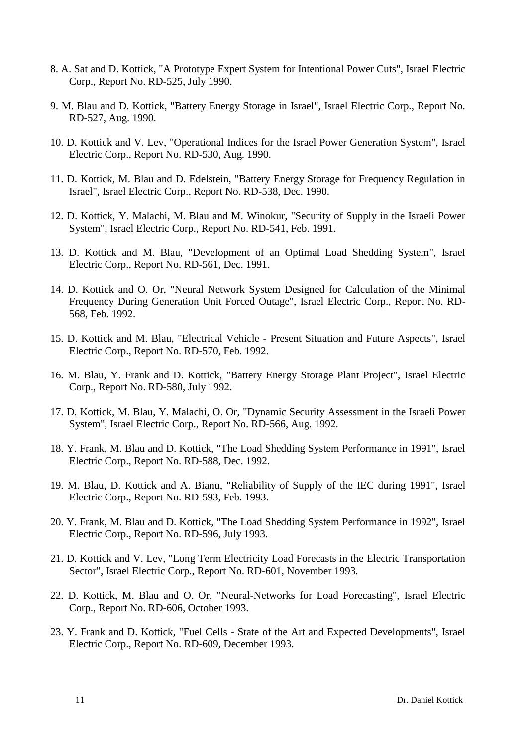- 8. A. Sat and D. Kottick, "A Prototype Expert System for Intentional Power Cuts", Israel Electric Corp., Report No. RD-525, July 1990.
- 9. M. Blau and D. Kottick, "Battery Energy Storage in Israel", Israel Electric Corp., Report No. RD-527, Aug. 1990.
- 10. D. Kottick and V. Lev, "Operational Indices for the Israel Power Generation System", Israel Electric Corp., Report No. RD-530, Aug. 1990.
- 11. D. Kottick, M. Blau and D. Edelstein, "Battery Energy Storage for Frequency Regulation in Israel", Israel Electric Corp., Report No. RD-538, Dec. 1990.
- 12. D. Kottick, Y. Malachi, M. Blau and M. Winokur, "Security of Supply in the Israeli Power System", Israel Electric Corp., Report No. RD-541, Feb. 1991.
- 13. D. Kottick and M. Blau, "Development of an Optimal Load Shedding System", Israel Electric Corp., Report No. RD-561, Dec. 1991.
- 14. D. Kottick and O. Or, "Neural Network System Designed for Calculation of the Minimal Frequency During Generation Unit Forced Outage", Israel Electric Corp., Report No. RD-568, Feb. 1992.
- 15. D. Kottick and M. Blau, "Electrical Vehicle Present Situation and Future Aspects", Israel Electric Corp., Report No. RD-570, Feb. 1992.
- 16. M. Blau, Y. Frank and D. Kottick, "Battery Energy Storage Plant Project", Israel Electric Corp., Report No. RD-580, July 1992.
- 17. D. Kottick, M. Blau, Y. Malachi, O. Or, "Dynamic Security Assessment in the Israeli Power System", Israel Electric Corp., Report No. RD-566, Aug. 1992.
- 18. Y. Frank, M. Blau and D. Kottick, "The Load Shedding System Performance in 1991", Israel Electric Corp., Report No. RD-588, Dec. 1992.
- 19. M. Blau, D. Kottick and A. Bianu, "Reliability of Supply of the IEC during 1991", Israel Electric Corp., Report No. RD-593, Feb. 1993.
- 20. Y. Frank, M. Blau and D. Kottick, "The Load Shedding System Performance in 1992", Israel Electric Corp., Report No. RD-596, July 1993.
- 21. D. Kottick and V. Lev, "Long Term Electricity Load Forecasts in the Electric Transportation Sector", Israel Electric Corp., Report No. RD-601, November 1993.
- 22. D. Kottick, M. Blau and O. Or, "Neural-Networks for Load Forecasting", Israel Electric Corp., Report No. RD-606, October 1993.
- 23. Y. Frank and D. Kottick, "Fuel Cells State of the Art and Expected Developments", Israel Electric Corp., Report No. RD-609, December 1993.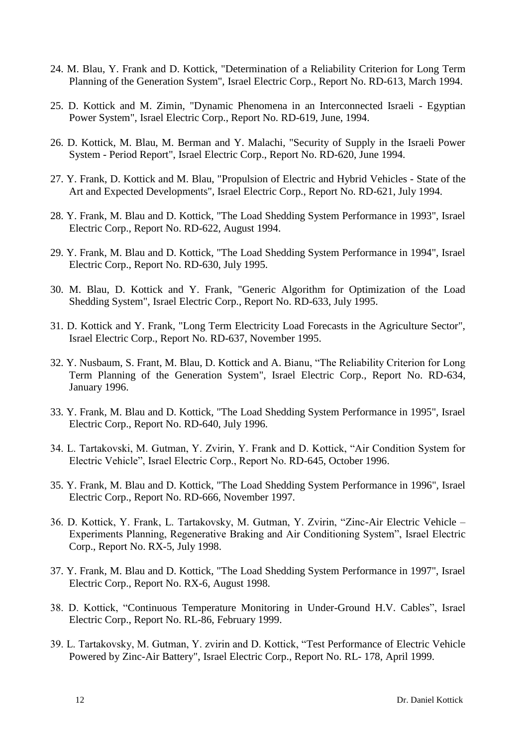- 24. M. Blau, Y. Frank and D. Kottick, "Determination of a Reliability Criterion for Long Term Planning of the Generation System", Israel Electric Corp., Report No. RD-613, March 1994.
- 25. D. Kottick and M. Zimin, "Dynamic Phenomena in an Interconnected Israeli Egyptian Power System", Israel Electric Corp., Report No. RD-619, June, 1994.
- 26. D. Kottick, M. Blau, M. Berman and Y. Malachi, "Security of Supply in the Israeli Power System - Period Report", Israel Electric Corp., Report No. RD-620, June 1994.
- 27. Y. Frank, D. Kottick and M. Blau, "Propulsion of Electric and Hybrid Vehicles State of the Art and Expected Developments", Israel Electric Corp., Report No. RD-621, July 1994.
- 28. Y. Frank, M. Blau and D. Kottick, "The Load Shedding System Performance in 1993", Israel Electric Corp., Report No. RD-622, August 1994.
- 29. Y. Frank, M. Blau and D. Kottick, "The Load Shedding System Performance in 1994", Israel Electric Corp., Report No. RD-630, July 1995.
- 30. M. Blau, D. Kottick and Y. Frank, "Generic Algorithm for Optimization of the Load Shedding System", Israel Electric Corp., Report No. RD-633, July 1995.
- 31. D. Kottick and Y. Frank, "Long Term Electricity Load Forecasts in the Agriculture Sector", Israel Electric Corp., Report No. RD-637, November 1995.
- 32. Y. Nusbaum, S. Frant, M. Blau, D. Kottick and A. Bianu, "The Reliability Criterion for Long Term Planning of the Generation System", Israel Electric Corp., Report No. RD-634, January 1996.
- 33. Y. Frank, M. Blau and D. Kottick, "The Load Shedding System Performance in 1995", Israel Electric Corp., Report No. RD-640, July 1996.
- 34. L. Tartakovski, M. Gutman, Y. Zvirin, Y. Frank and D. Kottick, "Air Condition System for Electric Vehicle", Israel Electric Corp., Report No. RD-645, October 1996.
- 35. Y. Frank, M. Blau and D. Kottick, "The Load Shedding System Performance in 1996", Israel Electric Corp., Report No. RD-666, November 1997.
- 36. D. Kottick, Y. Frank, L. Tartakovsky, M. Gutman, Y. Zvirin, "Zinc-Air Electric Vehicle Experiments Planning, Regenerative Braking and Air Conditioning System", Israel Electric Corp., Report No. RX-5, July 1998.
- 37. Y. Frank, M. Blau and D. Kottick, "The Load Shedding System Performance in 1997", Israel Electric Corp., Report No. RX-6, August 1998.
- 38. D. Kottick, "Continuous Temperature Monitoring in Under-Ground H.V. Cables", Israel Electric Corp., Report No. RL-86, February 1999.
- 39. L. Tartakovsky, M. Gutman, Y. zvirin and D. Kottick, "Test Performance of Electric Vehicle Powered by Zinc-Air Battery", Israel Electric Corp., Report No. RL- 178, April 1999.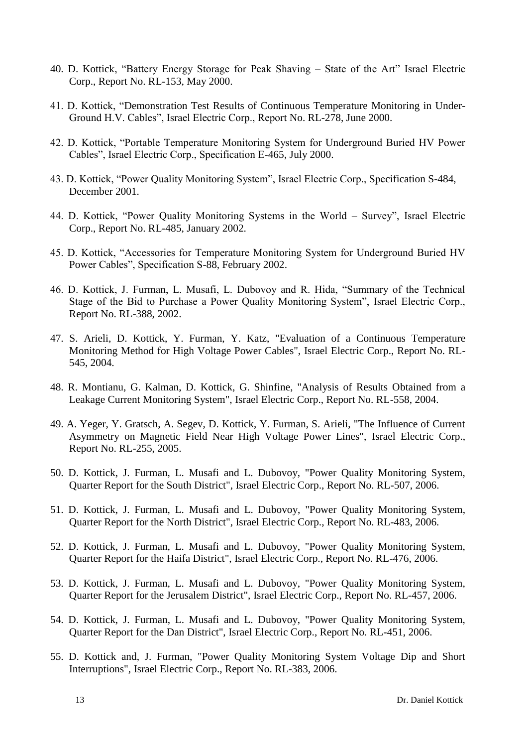- 40. D. Kottick, "Battery Energy Storage for Peak Shaving State of the Art" Israel Electric Corp., Report No. RL-153, May 2000.
- 41. D. Kottick, "Demonstration Test Results of Continuous Temperature Monitoring in Under-Ground H.V. Cables", Israel Electric Corp., Report No. RL-278, June 2000.
- 42. D. Kottick, "Portable Temperature Monitoring System for Underground Buried HV Power Cables", Israel Electric Corp., Specification E-465, July 2000.
- 43. D. Kottick, "Power Quality Monitoring System", Israel Electric Corp., Specification S-484, December 2001.
- 44. D. Kottick, "Power Quality Monitoring Systems in the World Survey", Israel Electric Corp., Report No. RL-485, January 2002.
- 45. D. Kottick, "Accessories for Temperature Monitoring System for Underground Buried HV Power Cables", Specification S-88, February 2002.
- 46. D. Kottick, J. Furman, L. Musafi, L. Dubovoy and R. Hida, "Summary of the Technical Stage of the Bid to Purchase a Power Quality Monitoring System", Israel Electric Corp., Report No. RL-388, 2002.
- 47. S. Arieli, D. Kottick, Y. Furman, Y. Katz, "Evaluation of a Continuous Temperature Monitoring Method for High Voltage Power Cables", Israel Electric Corp., Report No. RL-545, 2004.
- 48. R. Montianu, G. Kalman, D. Kottick, G. Shinfine, "Analysis of Results Obtained from a Leakage Current Monitoring System", Israel Electric Corp., Report No. RL-558, 2004.
- 49. A. Yeger, Y. Gratsch, A. Segev, D. Kottick, Y. Furman, S. Arieli, "The Influence of Current Asymmetry on Magnetic Field Near High Voltage Power Lines", Israel Electric Corp., Report No. RL-255, 2005.
- 50. D. Kottick, J. Furman, L. Musafi and L. Dubovoy, "Power Quality Monitoring System, Quarter Report for the South District", Israel Electric Corp., Report No. RL-507, 2006.
- 51. D. Kottick, J. Furman, L. Musafi and L. Dubovoy, "Power Quality Monitoring System, Quarter Report for the North District", Israel Electric Corp., Report No. RL-483, 2006.
- 52. D. Kottick, J. Furman, L. Musafi and L. Dubovoy, "Power Quality Monitoring System, Quarter Report for the Haifa District", Israel Electric Corp., Report No. RL-476, 2006.
- 53. D. Kottick, J. Furman, L. Musafi and L. Dubovoy, "Power Quality Monitoring System, Quarter Report for the Jerusalem District", Israel Electric Corp., Report No. RL-457, 2006.
- 54. D. Kottick, J. Furman, L. Musafi and L. Dubovoy, "Power Quality Monitoring System, Quarter Report for the Dan District", Israel Electric Corp., Report No. RL-451, 2006.
- 55. D. Kottick and, J. Furman, "Power Quality Monitoring System Voltage Dip and Short Interruptions", Israel Electric Corp., Report No. RL-383, 2006.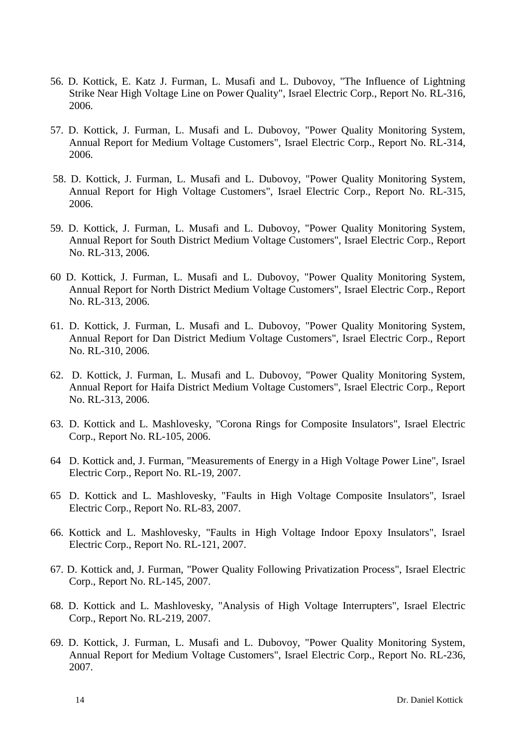- 56. D. Kottick, E. Katz J. Furman, L. Musafi and L. Dubovoy, "The Influence of Lightning Strike Near High Voltage Line on Power Quality", Israel Electric Corp., Report No. RL-316, 2006.
- 57. D. Kottick, J. Furman, L. Musafi and L. Dubovoy, "Power Quality Monitoring System, Annual Report for Medium Voltage Customers", Israel Electric Corp., Report No. RL-314, 2006.
- 58. D. Kottick, J. Furman, L. Musafi and L. Dubovoy, "Power Quality Monitoring System, Annual Report for High Voltage Customers", Israel Electric Corp., Report No. RL-315, 2006.
- 59. D. Kottick, J. Furman, L. Musafi and L. Dubovoy, "Power Quality Monitoring System, Annual Report for South District Medium Voltage Customers", Israel Electric Corp., Report No. RL-313, 2006.
- 60 D. Kottick, J. Furman, L. Musafi and L. Dubovoy, "Power Quality Monitoring System, Annual Report for North District Medium Voltage Customers", Israel Electric Corp., Report No. RL-313, 2006.
- 61. D. Kottick, J. Furman, L. Musafi and L. Dubovoy, "Power Quality Monitoring System, Annual Report for Dan District Medium Voltage Customers", Israel Electric Corp., Report No. RL-310, 2006.
- 62. D. Kottick, J. Furman, L. Musafi and L. Dubovoy, "Power Quality Monitoring System, Annual Report for Haifa District Medium Voltage Customers", Israel Electric Corp., Report No. RL-313, 2006.
- 63. D. Kottick and L. Mashlovesky, "Corona Rings for Composite Insulators", Israel Electric Corp., Report No. RL-105, 2006.
- 64 D. Kottick and, J. Furman, "Measurements of Energy in a High Voltage Power Line", Israel Electric Corp., Report No. RL-19, 2007.
- 65 D. Kottick and L. Mashlovesky, "Faults in High Voltage Composite Insulators", Israel Electric Corp., Report No. RL-83, 2007.
- 66. Kottick and L. Mashlovesky, "Faults in High Voltage Indoor Epoxy Insulators", Israel Electric Corp., Report No. RL-121, 2007.
- 67. D. Kottick and, J. Furman, "Power Quality Following Privatization Process", Israel Electric Corp., Report No. RL-145, 2007.
- 68. D. Kottick and L. Mashlovesky, "Analysis of High Voltage Interrupters", Israel Electric Corp., Report No. RL-219, 2007.
- 69. D. Kottick, J. Furman, L. Musafi and L. Dubovoy, "Power Quality Monitoring System, Annual Report for Medium Voltage Customers", Israel Electric Corp., Report No. RL-236, 2007.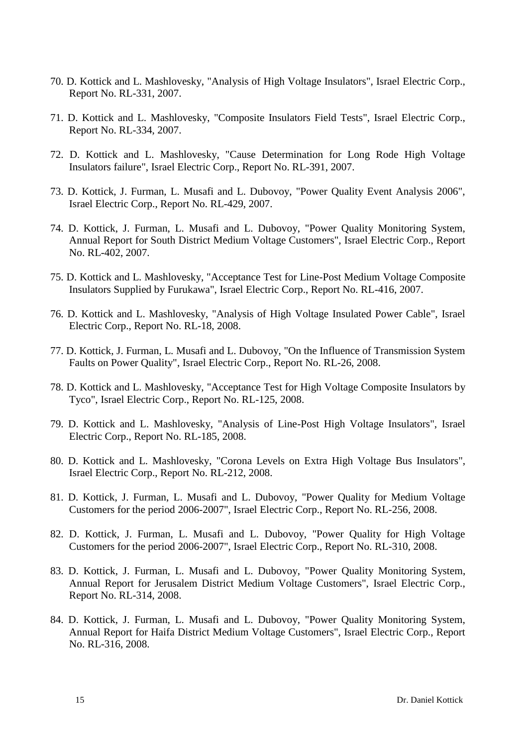- 70. D. Kottick and L. Mashlovesky, "Analysis of High Voltage Insulators", Israel Electric Corp., Report No. RL-331, 2007.
- 71. D. Kottick and L. Mashlovesky, "Composite Insulators Field Tests", Israel Electric Corp., Report No. RL-334, 2007.
- 72. D. Kottick and L. Mashlovesky, "Cause Determination for Long Rode High Voltage Insulators failure", Israel Electric Corp., Report No. RL-391, 2007.
- 73. D. Kottick, J. Furman, L. Musafi and L. Dubovoy, "Power Quality Event Analysis 2006", Israel Electric Corp., Report No. RL-429, 2007.
- 74. D. Kottick, J. Furman, L. Musafi and L. Dubovoy, "Power Quality Monitoring System, Annual Report for South District Medium Voltage Customers", Israel Electric Corp., Report No. RL-402, 2007.
- 75. D. Kottick and L. Mashlovesky, "Acceptance Test for Line-Post Medium Voltage Composite Insulators Supplied by Furukawa", Israel Electric Corp., Report No. RL-416, 2007.
- 76. D. Kottick and L. Mashlovesky, "Analysis of High Voltage Insulated Power Cable", Israel Electric Corp., Report No. RL-18, 2008.
- 77. D. Kottick, J. Furman, L. Musafi and L. Dubovoy, "On the Influence of Transmission System Faults on Power Quality", Israel Electric Corp., Report No. RL-26, 2008.
- 78. D. Kottick and L. Mashlovesky, "Acceptance Test for High Voltage Composite Insulators by Tyco", Israel Electric Corp., Report No. RL-125, 2008.
- 79. D. Kottick and L. Mashlovesky, "Analysis of Line-Post High Voltage Insulators", Israel Electric Corp., Report No. RL-185, 2008.
- 80. D. Kottick and L. Mashlovesky, "Corona Levels on Extra High Voltage Bus Insulators", Israel Electric Corp., Report No. RL-212, 2008.
- 81. D. Kottick, J. Furman, L. Musafi and L. Dubovoy, "Power Quality for Medium Voltage Customers for the period 2006-2007", Israel Electric Corp., Report No. RL-256, 2008.
- 82. D. Kottick, J. Furman, L. Musafi and L. Dubovoy, "Power Quality for High Voltage Customers for the period 2006-2007", Israel Electric Corp., Report No. RL-310, 2008.
- 83. D. Kottick, J. Furman, L. Musafi and L. Dubovoy, "Power Quality Monitoring System, Annual Report for Jerusalem District Medium Voltage Customers", Israel Electric Corp., Report No. RL-314, 2008.
- 84. D. Kottick, J. Furman, L. Musafi and L. Dubovoy, "Power Quality Monitoring System, Annual Report for Haifa District Medium Voltage Customers", Israel Electric Corp., Report No. RL-316, 2008.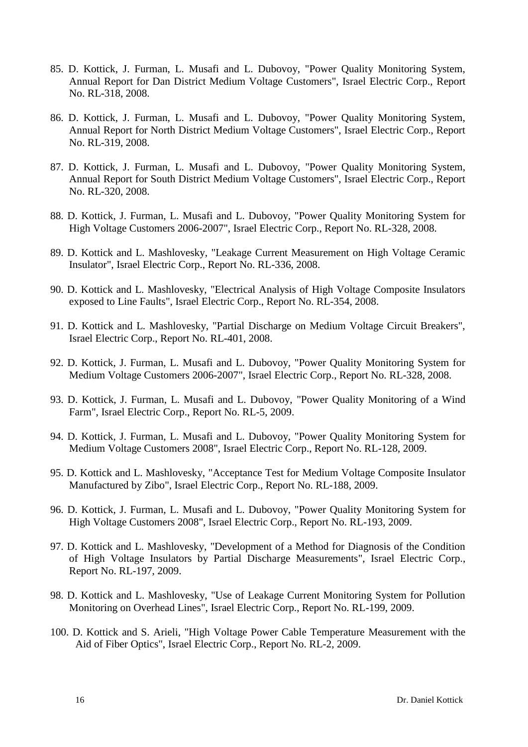- 85. D. Kottick, J. Furman, L. Musafi and L. Dubovoy, "Power Quality Monitoring System, Annual Report for Dan District Medium Voltage Customers", Israel Electric Corp., Report No. RL-318, 2008.
- 86. D. Kottick, J. Furman, L. Musafi and L. Dubovoy, "Power Quality Monitoring System, Annual Report for North District Medium Voltage Customers", Israel Electric Corp., Report No. RL-319, 2008.
- 87. D. Kottick, J. Furman, L. Musafi and L. Dubovoy, "Power Quality Monitoring System, Annual Report for South District Medium Voltage Customers", Israel Electric Corp., Report No. RL-320, 2008.
- 88. D. Kottick, J. Furman, L. Musafi and L. Dubovoy, "Power Quality Monitoring System for High Voltage Customers 2006-2007", Israel Electric Corp., Report No. RL-328, 2008.
- 89. D. Kottick and L. Mashlovesky, "Leakage Current Measurement on High Voltage Ceramic Insulator", Israel Electric Corp., Report No. RL-336, 2008.
- 90. D. Kottick and L. Mashlovesky, "Electrical Analysis of High Voltage Composite Insulators exposed to Line Faults", Israel Electric Corp., Report No. RL-354, 2008.
- 91. D. Kottick and L. Mashlovesky, "Partial Discharge on Medium Voltage Circuit Breakers", Israel Electric Corp., Report No. RL-401, 2008.
- 92. D. Kottick, J. Furman, L. Musafi and L. Dubovoy, "Power Quality Monitoring System for Medium Voltage Customers 2006-2007", Israel Electric Corp., Report No. RL-328, 2008.
- 93. D. Kottick, J. Furman, L. Musafi and L. Dubovoy, "Power Quality Monitoring of a Wind Farm", Israel Electric Corp., Report No. RL-5, 2009.
- 94. D. Kottick, J. Furman, L. Musafi and L. Dubovoy, "Power Quality Monitoring System for Medium Voltage Customers 2008", Israel Electric Corp., Report No. RL-128, 2009.
- 95. D. Kottick and L. Mashlovesky, "Acceptance Test for Medium Voltage Composite Insulator Manufactured by Zibo", Israel Electric Corp., Report No. RL-188, 2009.
- 96. D. Kottick, J. Furman, L. Musafi and L. Dubovoy, "Power Quality Monitoring System for High Voltage Customers 2008", Israel Electric Corp., Report No. RL-193, 2009.
- 97. D. Kottick and L. Mashlovesky, "Development of a Method for Diagnosis of the Condition of High Voltage Insulators by Partial Discharge Measurements", Israel Electric Corp., Report No. RL-197, 2009.
- 98. D. Kottick and L. Mashlovesky, "Use of Leakage Current Monitoring System for Pollution Monitoring on Overhead Lines", Israel Electric Corp., Report No. RL-199, 2009.
- 100. D. Kottick and S. Arieli, "High Voltage Power Cable Temperature Measurement with the Aid of Fiber Optics", Israel Electric Corp., Report No. RL-2, 2009.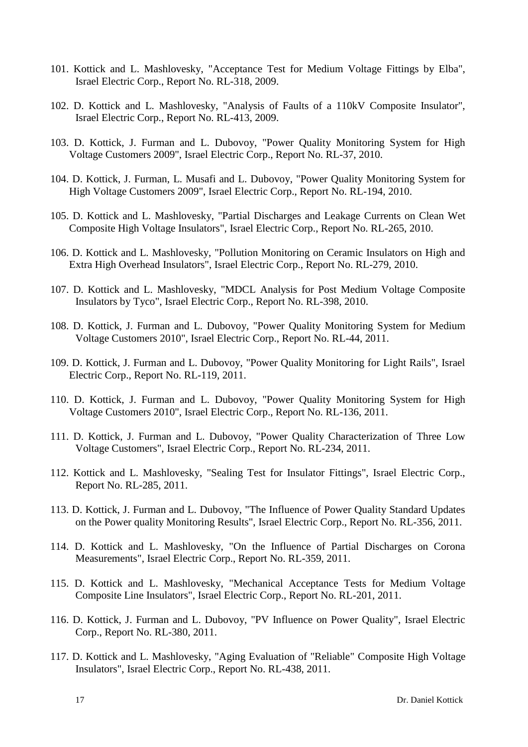- 101. Kottick and L. Mashlovesky, "Acceptance Test for Medium Voltage Fittings by Elba", Israel Electric Corp., Report No. RL-318, 2009.
- 102. D. Kottick and L. Mashlovesky, "Analysis of Faults of a 110kV Composite Insulator", Israel Electric Corp., Report No. RL-413, 2009.
- 103. D. Kottick, J. Furman and L. Dubovoy, "Power Quality Monitoring System for High Voltage Customers 2009", Israel Electric Corp., Report No. RL-37, 2010.
- 104. D. Kottick, J. Furman, L. Musafi and L. Dubovoy, "Power Quality Monitoring System for High Voltage Customers 2009", Israel Electric Corp., Report No. RL-194, 2010.
- 105. D. Kottick and L. Mashlovesky, "Partial Discharges and Leakage Currents on Clean Wet Composite High Voltage Insulators", Israel Electric Corp., Report No. RL-265, 2010.
- 106. D. Kottick and L. Mashlovesky, "Pollution Monitoring on Ceramic Insulators on High and Extra High Overhead Insulators", Israel Electric Corp., Report No. RL-279, 2010.
- 107. D. Kottick and L. Mashlovesky, "MDCL Analysis for Post Medium Voltage Composite Insulators by Tyco", Israel Electric Corp., Report No. RL-398, 2010.
- 108. D. Kottick, J. Furman and L. Dubovoy, "Power Quality Monitoring System for Medium Voltage Customers 2010", Israel Electric Corp., Report No. RL-44, 2011.
- 109. D. Kottick, J. Furman and L. Dubovoy, "Power Quality Monitoring for Light Rails", Israel Electric Corp., Report No. RL-119, 2011.
- 110. D. Kottick, J. Furman and L. Dubovoy, "Power Quality Monitoring System for High Voltage Customers 2010", Israel Electric Corp., Report No. RL-136, 2011.
- 111. D. Kottick, J. Furman and L. Dubovoy, "Power Quality Characterization of Three Low Voltage Customers", Israel Electric Corp., Report No. RL-234, 2011.
- 112. Kottick and L. Mashlovesky, "Sealing Test for Insulator Fittings", Israel Electric Corp., Report No. RL-285, 2011.
- 113. D. Kottick, J. Furman and L. Dubovoy, "The Influence of Power Quality Standard Updates on the Power quality Monitoring Results", Israel Electric Corp., Report No. RL-356, 2011.
- 114. D. Kottick and L. Mashlovesky, "On the Influence of Partial Discharges on Corona Measurements", Israel Electric Corp., Report No. RL-359, 2011.
- 115. D. Kottick and L. Mashlovesky, "Mechanical Acceptance Tests for Medium Voltage Composite Line Insulators", Israel Electric Corp., Report No. RL-201, 2011.
- 116. D. Kottick, J. Furman and L. Dubovoy, "PV Influence on Power Quality", Israel Electric Corp., Report No. RL-380, 2011.
- 117. D. Kottick and L. Mashlovesky, "Aging Evaluation of "Reliable" Composite High Voltage Insulators", Israel Electric Corp., Report No. RL-438, 2011.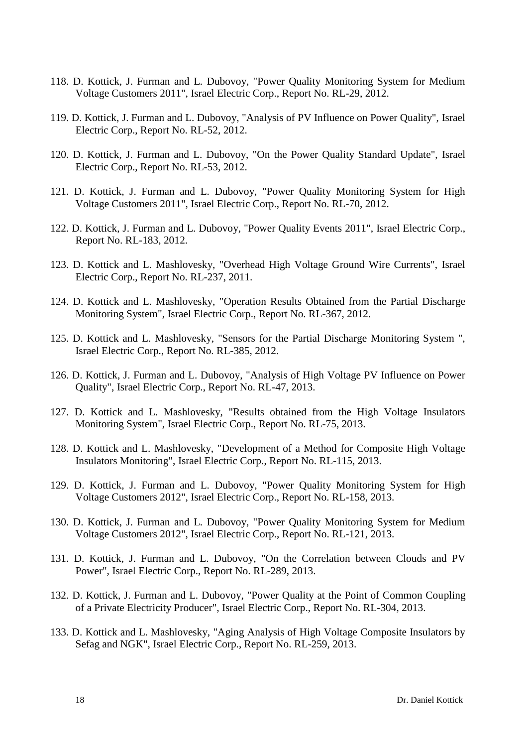- 118. D. Kottick, J. Furman and L. Dubovoy, "Power Quality Monitoring System for Medium Voltage Customers 2011", Israel Electric Corp., Report No. RL-29, 2012.
- 119. D. Kottick, J. Furman and L. Dubovoy, "Analysis of PV Influence on Power Quality", Israel Electric Corp., Report No. RL-52, 2012.
- 120. D. Kottick, J. Furman and L. Dubovoy, "On the Power Quality Standard Update", Israel Electric Corp., Report No. RL-53, 2012.
- 121. D. Kottick, J. Furman and L. Dubovoy, "Power Quality Monitoring System for High Voltage Customers 2011", Israel Electric Corp., Report No. RL-70, 2012.
- 122. D. Kottick, J. Furman and L. Dubovoy, "Power Quality Events 2011", Israel Electric Corp., Report No. RL-183, 2012.
- 123. D. Kottick and L. Mashlovesky, "Overhead High Voltage Ground Wire Currents", Israel Electric Corp., Report No. RL-237, 2011.
- 124. D. Kottick and L. Mashlovesky, "Operation Results Obtained from the Partial Discharge Monitoring System", Israel Electric Corp., Report No. RL-367, 2012.
- 125. D. Kottick and L. Mashlovesky, "Sensors for the Partial Discharge Monitoring System ", Israel Electric Corp., Report No. RL-385, 2012.
- 126. D. Kottick, J. Furman and L. Dubovoy, "Analysis of High Voltage PV Influence on Power Quality", Israel Electric Corp., Report No. RL-47, 2013.
- 127. D. Kottick and L. Mashlovesky, "Results obtained from the High Voltage Insulators Monitoring System", Israel Electric Corp., Report No. RL-75, 2013.
- 128. D. Kottick and L. Mashlovesky, "Development of a Method for Composite High Voltage Insulators Monitoring", Israel Electric Corp., Report No. RL-115, 2013.
- 129. D. Kottick, J. Furman and L. Dubovoy, "Power Quality Monitoring System for High Voltage Customers 2012", Israel Electric Corp., Report No. RL-158, 2013.
- 130. D. Kottick, J. Furman and L. Dubovoy, "Power Quality Monitoring System for Medium Voltage Customers 2012", Israel Electric Corp., Report No. RL-121, 2013.
- 131. D. Kottick, J. Furman and L. Dubovoy, "On the Correlation between Clouds and PV Power", Israel Electric Corp., Report No. RL-289, 2013.
- 132. D. Kottick, J. Furman and L. Dubovoy, "Power Quality at the Point of Common Coupling of a Private Electricity Producer", Israel Electric Corp., Report No. RL-304, 2013.
- 133. D. Kottick and L. Mashlovesky, "Aging Analysis of High Voltage Composite Insulators by Sefag and NGK", Israel Electric Corp., Report No. RL-259, 2013.